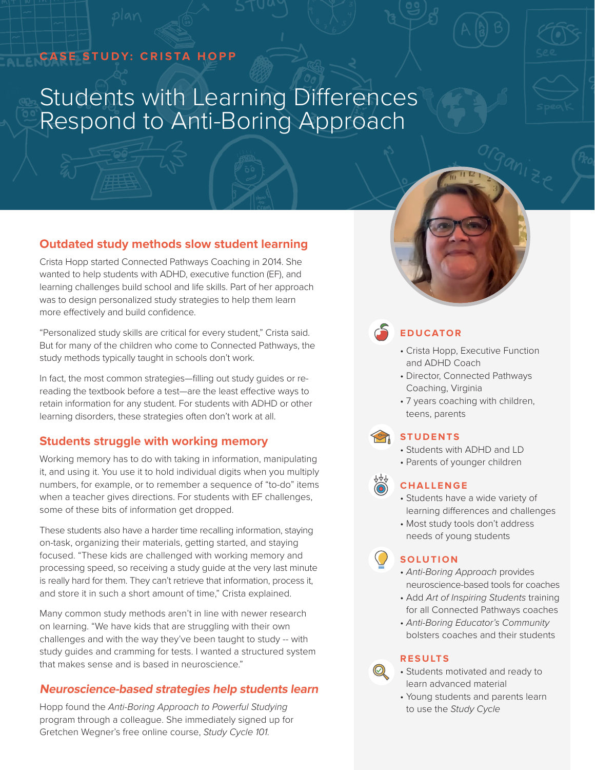### **CASE STUDY: CRISTA HOPP**

# Students with Learning Differences Respond to Anti-Boring Approach

#### **Outdated study methods slow student learning**

Crista Hopp started Connected Pathways Coaching in 2014. She wanted to help students with ADHD, executive function (EF), and learning challenges build school and life skills. Part of her approach was to design personalized study strategies to help them learn more effectively and build confidence.

"Personalized study skills are critical for every student," Crista said. But for many of the children who come to Connected Pathways, the study methods typically taught in schools don't work.

In fact, the most common strategies—filling out study guides or rereading the textbook before a test—are the least effective ways to retain information for any student. For students with ADHD or other learning disorders, these strategies often don't work at all.

#### **Students struggle with working memory**

Working memory has to do with taking in information, manipulating it, and using it. You use it to hold individual digits when you multiply numbers, for example, or to remember a sequence of "to-do" items when a teacher gives directions. For students with EF challenges, some of these bits of information get dropped.

These students also have a harder time recalling information, staying on-task, organizing their materials, getting started, and staying focused. "These kids are challenged with working memory and processing speed, so receiving a study guide at the very last minute is really hard for them. They can't retrieve that information, process it, and store it in such a short amount of time," Crista explained.

Many common study methods aren't in line with newer research on learning. "We have kids that are struggling with their own challenges and with the way they've been taught to study -- with study guides and cramming for tests. I wanted a structured system that makes sense and is based in neuroscience."

#### **Neuroscience-based strategies help students learn**

Hopp found the *Anti-Boring Approach to Powerful Studying* program through a colleague. She immediately signed up for Gretchen Wegner's free online course, *Study Cycle 101.*

## **EDUCATOR**

- Crista Hopp, Executive Function and ADHD Coach
- Director, Connected Pathways Coaching, Virginia
- 7 years coaching with children, teens, parents

#### **STUDENTS**

- Students with ADHD and LD
- Parents of younger children

#### **CHALLENGE**

- Students have a wide variety of learning differences and challenges
- Most study tools don't address needs of young students

#### **SOLUTION**

- *Anti-Boring Approach* provides neuroscience-based tools for coaches
- Add *Art of Inspiring Students* training for all Connected Pathways coaches
- *Anti-Boring Educator's Community*  bolsters coaches and their students

#### **RESULTS**

 $\circledcirc$ 

- Students motivated and ready to learn advanced material
- Young students and parents learn to use the *Study Cycle*